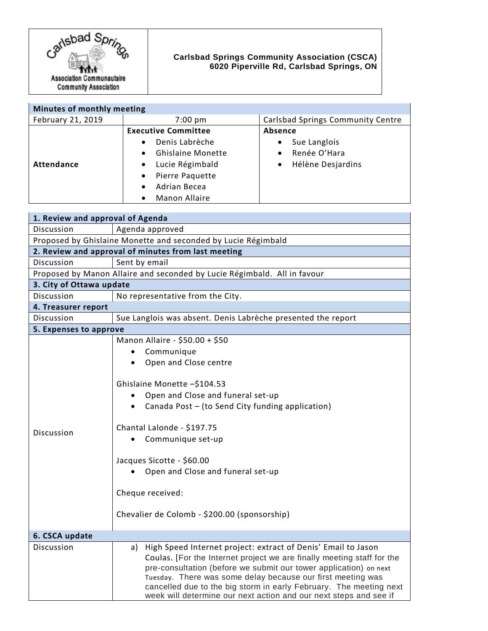

## **Carlsbad Springs Community Association (CSCA) 6020 Piperville Rd, Carlsbad Springs, ON**

| Minutes of monthly meeting |                                       |                                          |
|----------------------------|---------------------------------------|------------------------------------------|
| February 21, 2019          | $7:00 \text{ pm}$                     | <b>Carlsbad Springs Community Centre</b> |
|                            | <b>Executive Committee</b>            | <b>Absence</b>                           |
|                            | Denis Labrèche<br>$\bullet$           | Sue Langlois<br>$\bullet$                |
|                            | <b>Ghislaine Monette</b><br>$\bullet$ | Renée O'Hara<br>$\bullet$                |
| Attendance                 | Lucie Régimbald<br>$\bullet$          | Hélène Desjardins<br>$\bullet$           |
|                            | Pierre Paquette<br>$\bullet$          |                                          |
|                            | Adrian Becea<br>$\bullet$             |                                          |
|                            | <b>Manon Allaire</b><br>$\bullet$     |                                          |

| 1. Review and approval of Agenda                                         |                                                                        |  |  |
|--------------------------------------------------------------------------|------------------------------------------------------------------------|--|--|
| Discussion                                                               | Agenda approved                                                        |  |  |
| Proposed by Ghislaine Monette and seconded by Lucie Régimbald            |                                                                        |  |  |
| 2. Review and approval of minutes from last meeting                      |                                                                        |  |  |
| Discussion                                                               | Sent by email                                                          |  |  |
| Proposed by Manon Allaire and seconded by Lucie Régimbald. All in favour |                                                                        |  |  |
| 3. City of Ottawa update                                                 |                                                                        |  |  |
| Discussion                                                               | No representative from the City.                                       |  |  |
| 4. Treasurer report                                                      |                                                                        |  |  |
| Discussion                                                               | Sue Langlois was absent. Denis Labrèche presented the report           |  |  |
| 5. Expenses to approve                                                   |                                                                        |  |  |
|                                                                          | Manon Allaire - \$50.00 + \$50                                         |  |  |
|                                                                          | Communique                                                             |  |  |
|                                                                          | Open and Close centre                                                  |  |  |
|                                                                          |                                                                        |  |  |
|                                                                          | Ghislaine Monette -\$104.53                                            |  |  |
| Discussion                                                               | Open and Close and funeral set-up                                      |  |  |
|                                                                          | Canada Post - (to Send City funding application)                       |  |  |
|                                                                          |                                                                        |  |  |
|                                                                          | Chantal Lalonde - \$197.75                                             |  |  |
|                                                                          | Communique set-up                                                      |  |  |
|                                                                          | Jacques Sicotte - \$60.00                                              |  |  |
|                                                                          | Open and Close and funeral set-up                                      |  |  |
|                                                                          |                                                                        |  |  |
|                                                                          | Cheque received:                                                       |  |  |
|                                                                          |                                                                        |  |  |
|                                                                          | Chevalier de Colomb - \$200.00 (sponsorship)                           |  |  |
|                                                                          |                                                                        |  |  |
| 6. CSCA update                                                           |                                                                        |  |  |
| Discussion                                                               | High Speed Internet project: extract of Denis' Email to Jason<br>a)    |  |  |
|                                                                          | Coulas. [For the Internet project we are finally meeting staff for the |  |  |
|                                                                          | pre-consultation (before we submit our tower application) on next      |  |  |
|                                                                          | Tuesday. There was some delay because our first meeting was            |  |  |
|                                                                          | cancelled due to the big storm in early February. The meeting next     |  |  |
|                                                                          | week will determine our next action and our next steps and see if      |  |  |